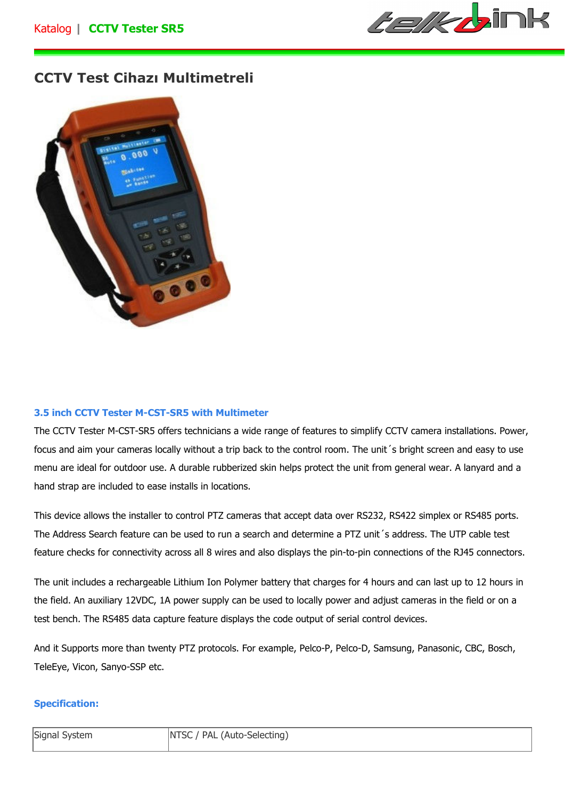

## **CCTV Test Cihazı Multimetreli**



## **3.5 inch CCTV Tester M-CST-SR5 with Multimeter**

The CCTV Tester M-CST-SR5 offers technicians a wide range of features to simplify CCTV camera installations. Power, focus and aim your cameras locally without a trip back to the control room. The unit´s bright screen and easy to use menu are ideal for outdoor use. A durable rubberized skin helps protect the unit from general wear. A lanyard and a hand strap are included to ease installs in locations.

This device allows the installer to control PTZ cameras that accept data over RS232, RS422 simplex or RS485 ports. The Address Search feature can be used to run a search and determine a PTZ unit´s address. The UTP cable test feature checks for connectivity across all 8 wires and also displays the pin-to-pin connections of the RJ45 connectors.

The unit includes a rechargeable Lithium Ion Polymer battery that charges for 4 hours and can last up to 12 hours in the field. An auxiliary 12VDC, 1A power supply can be used to locally power and adjust cameras in the field or on a test bench. The RS485 data capture feature displays the code output of serial control devices.

And it Supports more than twenty PTZ protocols. For example, Pelco-P, Pelco-D, Samsung, Panasonic, CBC, Bosch, TeleEye, Vicon, Sanyo-SSP etc.

## **Specification:**

| Signal System | NTSC / PAL (Auto-Selecting) |
|---------------|-----------------------------|
|               |                             |